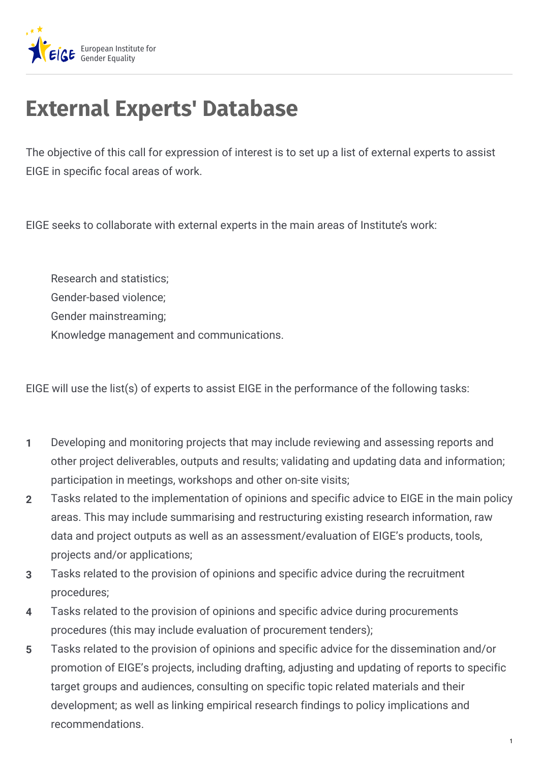

## **External Experts' Database**

The objective of this call for expression of interest is to set up a list of external experts to assist EIGE in specific focal areas of work.

EIGE seeks to collaborate with external experts in the main areas of Institute's work:

Research and statistics; Gender-based violence; Gender mainstreaming; Knowledge management and communications.

EIGE will use the list(s) of experts to assist EIGE in the performance of the following tasks:

- Developing and monitoring projects that may include reviewing and assessing reports and other project deliverables, outputs and results; validating and updating data and information; participation in meetings, workshops and other on-site visits; **1**
- Tasks related to the implementation of opinions and specific advice to EIGE in the main policy areas. This may include summarising and restructuring existing research information, raw data and project outputs as well as an assessment/evaluation of EIGE's products, tools, projects and/or applications; **2**
- Tasks related to the provision of opinions and specific advice during the recruitment procedures; **3**
- Tasks related to the provision of opinions and specific advice during procurements procedures (this may include evaluation of procurement tenders); **4**
- Tasks related to the provision of opinions and specific advice for the dissemination and/or promotion of EIGE's projects, including drafting, adjusting and updating of reports to specific target groups and audiences, consulting on specific topic related materials and their development; as well as linking empirical research findings to policy implications and recommendations. **5**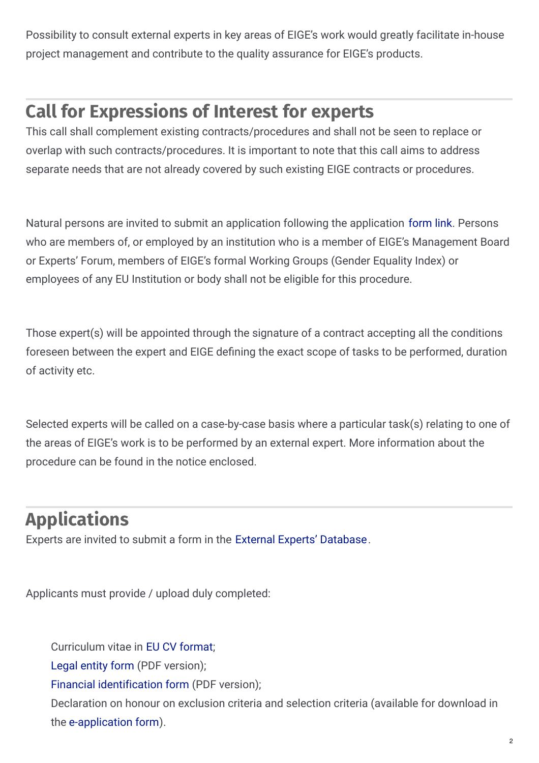Possibility to consult external experts in key areas of EIGE's work would greatly facilitate in-house project management and contribute to the quality assurance for EIGE's products.

## **Call for Expressions of Interest for experts**

This call shall complement existing contracts/procedures and shall not be seen to replace or overlap with such contracts/procedures. It is important to note that this call aims to address separate needs that are not already covered by such existing EIGE contracts or procedures.

Natural persons are invited to submit an application following the application [form](https://experts.eige.europa.eu/) link. Persons who are members of, or employed by an institution who is a member of EIGE's Management Board or Experts' Forum, members of EIGE's formal Working Groups (Gender Equality Index) or employees of any EU Institution or body shall not be eligible for this procedure.

Those expert(s) will be appointed through the signature of a contract accepting all the conditions foreseen between the expert and EIGE defining the exact scope of tasks to be performed, duration of activity etc.

Selected experts will be called on a case-by-case basis where a particular task(s) relating to one of the areas of EIGE's work is to be performed by an external expert. More information about the procedure can be found in the notice enclosed.

## **Applications**

Experts are invited to submit a form in the External Experts' [Database](https://experts.eige.europa.eu/).

Applicants must provide / upload duly completed:

Curriculum vitae in EU CV [format](https://europass.cedefop.europa.eu/en/documents/curriculum-vitae/templates-instructions);

Legal [entity](http://ec.europa.eu/budget/contracts_grants/info_contracts/legal_entities/legal_entities_en.cfm) form (PDF version);

Financial [identification](http://ec.europa.eu/budget/contracts_grants/info_contracts/financial_id/financial_id_en.cfm) form (PDF version);

Declaration on honour on exclusion criteria and selection criteria (available for download in the [e-application](https://experts.eige.europa.eu/application-form#selection-criteria-cv) form).